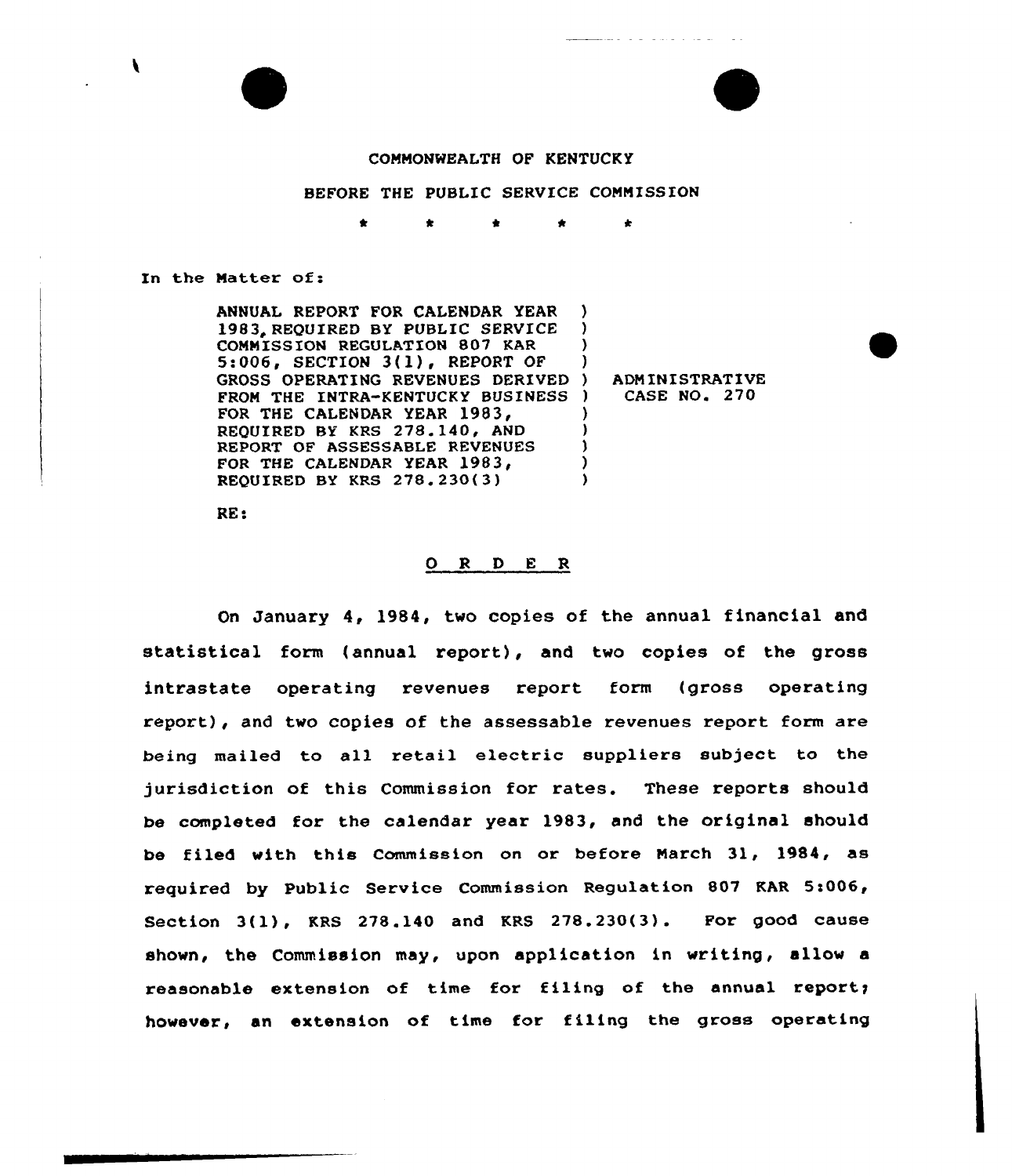



# COMMONWEALTH OF KENTUCKY

# BEFORE THE PUBLIC SERVICE COMMISSION

t \* \*

In the Natter of:

ANNUAL REPORT FOR CALENDAR YEAR ) 1983. REQUIRED BY PUBLIC SERVICE COMMISSION REGULATION 807 KAR  $5:006$ , SECTION  $3(1)$ , REPORT OF GROSS OPERATING REVENUES DERIVED FROM THE INTRA-KENTUCKY BUSINESS ) FOR THE CALENDAR YEAR 1983, REOUIRED BY KRS 278.140, AND REPORT OF ASSESSABLE REVENUES FOR THE CALENDAR YEAR 1983, 1983'EQUIRED BY KRS 278. 230(3) ) ) ) ) ) ) ) )

) ADNINISTRATIVE ) CASE NO. 270

RE:

# O R D E R

On January 4, 1984, two copies of the annual financial and statistical form (annual report), and two copies of the gross intrastate operating revenues report form (gross operating repoxt), and two copies of the assessable revenues report form are being mailed to all retail electric suppliers subject to the jurisdiction of this Commission for rates. These reports should be completed for the calendar year 1983, and the original should be filed with this Commission on or before March 31, 1984, as required by Public Service Commission Regulation 807 KAR St006, Section 3(1), KRS 278.140 and KRS 278.230(3). For good cause shown, the Commission may, upon application in writing, allow a reasonable extension of time for filing of the annual report; however, an extension of time for filing the gross operating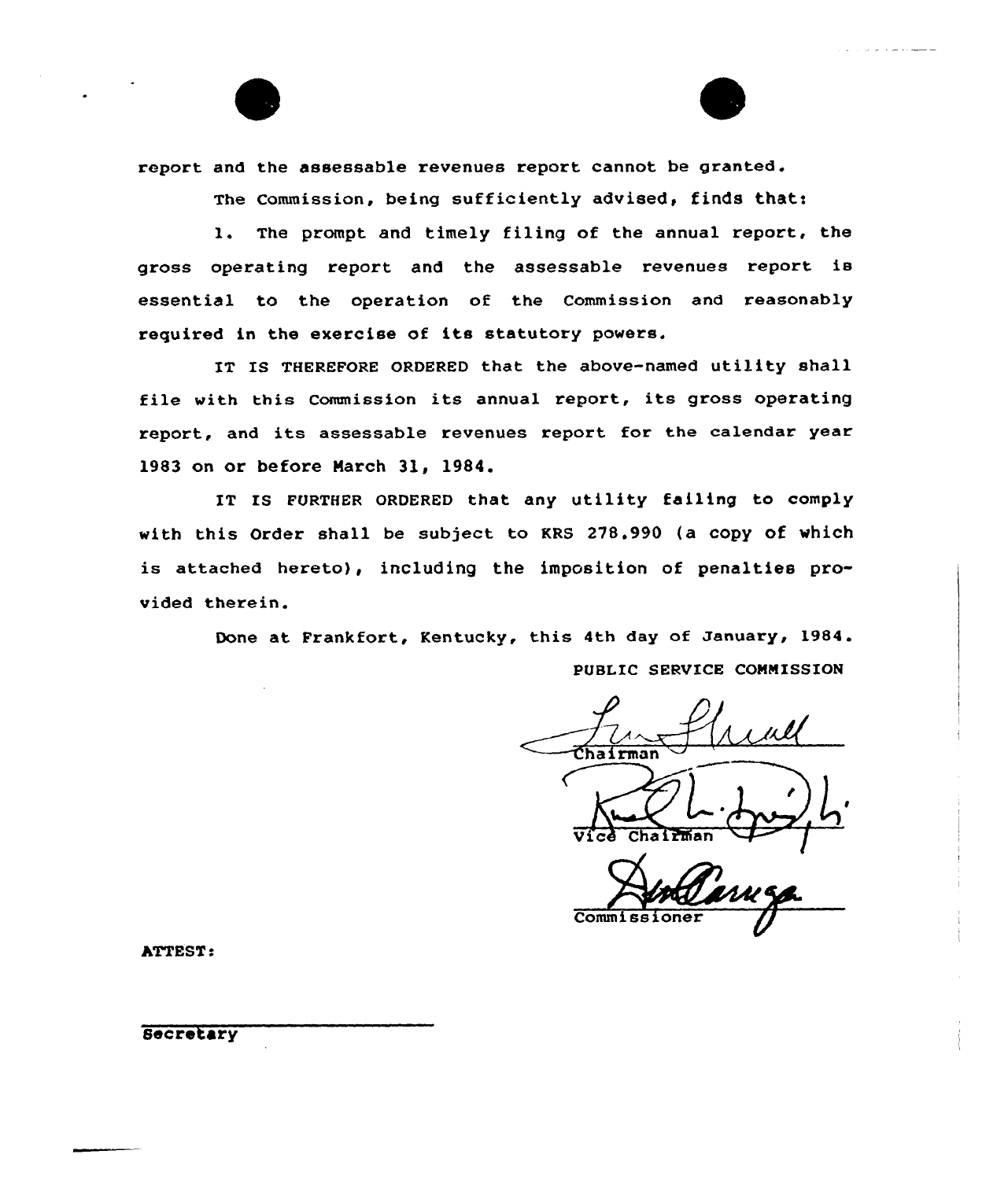

The commission, being sufficiently advised, finds thatt

l. The prompt and timely filing of the annual report, the gross operating report and the assessable revenues report is essential to the operation of the Commission and reasonably required in the exercise of its statutory powers.

IT IS THEREFORE ORDERED that the above-named utility shall file with this Commission its annual report, its gross operating report, and its assessable revenues report for the calendar year 1983 on or before March 31, 1984.

IT IS FURTHER ORDERED that any utility failing to comply with this Order shall be subject to KRS 278.990 (a copy of which is attached hereto}, including the imposition of penalties provided therein.

> Done at Frankfort, Kentucky, this 4th day of January, 1984. PUBLIC SERVICE CONNISSION

 $\frac{1}{\text{Maximum}}$  $L$   $\rightarrow$ 

Vice Chairman

Comm i

hTTEST.

Secretary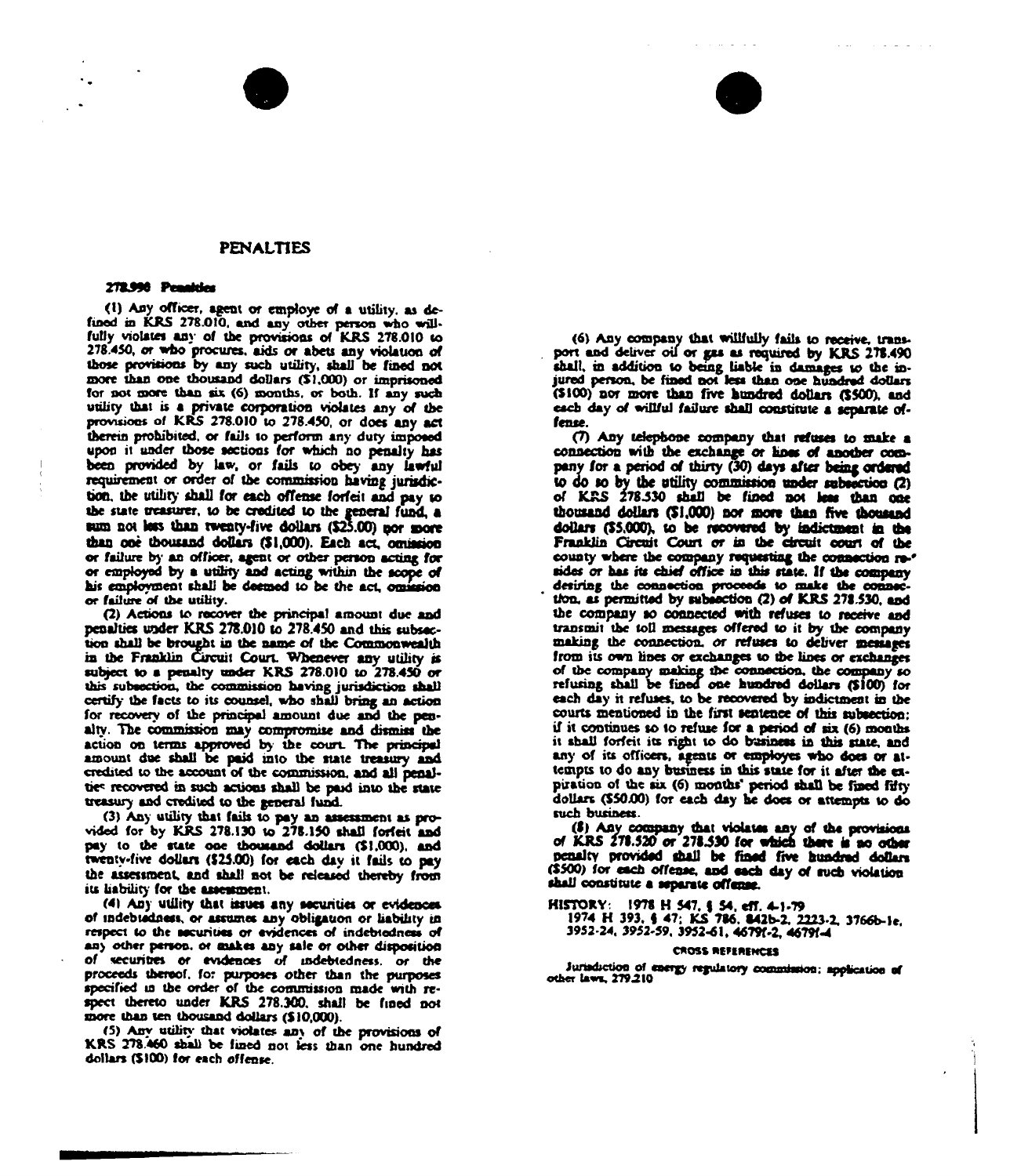## **PENALTIES**

### 272.990 Penahier

(1) Any officer, agent or employe of a utility, as defined in KRS 278.010, and any other person who will-<br>fully violates any of the provisions of KRS 278.010 to 278.450, or who procures, aids or abets any violation of those provisions by any such utility, shall be fined not more than one thousand dollars (\$1,000) or imprisoned for not more than six (6) months, or both. If any such utility that is a private corporation violates any of the provisions of KRS 278.010 to 278.450, or does any act therein prohibited, or fails to perform any duty imposed upon it under those sections for which no penalty has been provided by law, or fails to obey any lawful requirement or order of the commission having jurisdiction, the utility shall for each offense forfeit and pay to the state treasurer, to be credited to the general fund, a sum not less than twenty-five dollars (\$25.00) por more than one thousand dollars (\$1,000). Each act, omission or failure by an officer, agent or other person acting for or employed by a utility and acting within the scope of his employment shall be deemed to be the act, omission or failure of the utility.

(2) Actions to recover the principal amount due and penalties under KRS 278.010 to 278.450 and this subsection shall be brought in the name of the Commonwealth in the Franklin Circuit Court. Whenever any utility is subject to a penalty under KRS 278.010 to 278.450 or this subsection, the commission having jurisdiction shall certify the facts to its counsel, who shall bring an action for recovery of the principal amount due and the penalty. The commission may compromise and dismiss the action on terms approved by the court. The principal amount due shall be paid into the state treasury and credited to the account of the commission, and all penalties recovered in such actions shall be paid into the state treasury and credited to the general fund.

(3) Any utility that fails to pay an assessment as provided for by KRS 278.130 to 278.150 shall forfeit and pay to the state one thousand dollars (\$1,000), and twentv-five dollars (\$25.00) for each day it fails to pay the assessment, and shall not be released thereby from its liability for the assessment.

(4) Any utility that issues any securities or evidences of indebtedness, or assumes any obligation or liability in respect to the securities or evidences of indebtedness of any other person, or makes any sale or other disposition of securities or evidences of indebtedness, or the proceeds thereof, for purposes other than the purposes specified in the order of the commission made with respect thereto under KRS 278.300, shall be fined not more than ten thousand dollars (\$10,000).

(5) Any utility that violates any of the provisions of KRS 278.460 shall be fined not less than one hundred dollars (\$100) for each offense.

(6) Any company that willfully fails to receive, transport and deliver oil or gas as required by KRS 278.490 shall, in addition to being liable in damages to the injured person, be fined not less than one hundred dollars (\$100) nor more than five hundred dollars (\$500), and each day of willful failure shall constitute a separate offense.

(7) Any telephone company that refuses to make a connection with the exchange or lines of another company for a period of thirty (30) days after being ordered to do so by the utility commission under subsection (2) of KRS 278.530 shall be fined not less than one thousand dollars (\$1,000) nor more than five thousand dollars (\$5,000), to be recovered by indictment in the Franklin Circuit Court or in the circuit court of the county where the company requesting the connection resides or has its chief office in this state. If the company desiring the connection proceeds to make the connection, as permitted by subsection (2) of KRS 278.530, and the company so connected with refuses to receive and transmit the toll messages offered to it by the company making the connection, or refuses to deliver messages from its own lines or exchanges to the lines or exchanges of the company making the connection, the company so refusing shall be fined one hundred dollars (\$100) for each day it refuses, to be recovered by indictment in the courts mentioned in the first sentence of this subsection: if it continues so to refuse for a period of six (6) months it shall forfeit its right to do business in this state, and any of its officers, agents or employes who does or attempts to do any business in this state for it after the expiration of the six (6) months' period shall be fined fifty dollars (\$50.00) for each day he does or attempts to do such business.

(8) Any company that violates any of the provisions of KRS 278.520 or 278.530 for which there is no other penalty provided shall be fined five hundred dollars (\$500) for each offense, and each day of such violation shall constitute a separate offense.

HISTORY: 1978 H 547, § 54, eff. 4-1-79<br>1974 H 393, § 47; KS 786, 842b-2, 2223-2, 3766b-1e, 3952-24, 3952-59, 3952-61, 46797-2, 46791-4

#### **CROSS REFERENCES**

Jurisdiction of energy regulatory commission; application of other laws, 279.210